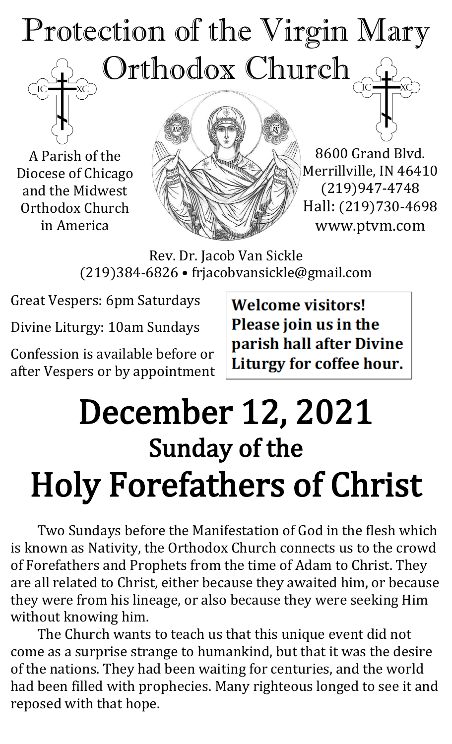# Protection of the Virgin Mary Orthodox Church

A Parish of the Diocese of Chicago and the Midwest Orthodox Church in America



8600 Grand Blvd. Merrillville, IN 46410 (219)947-4748 Hall: (219)730-4698 www.ptvm.com

Rev. Dr. Jacob Van Sickle (219)384-6826 • frjacobvansickle@gmail.com

Great Vespers: 6pm Saturdays

Divine Liturgy: 10am Sundays

Confession is available before or after Vespers or by appointment **Welcome visitors!** Please join us in the parish hall after Divine Liturgy for coffee hour.

# December 12, 2021 Sunday of the Holy Forefathers of Christ

Two Sundays before the Manifestation of God in the flesh which is known as Nativity, the Orthodox Church connects us to the crowd of Forefathers and Prophets from the time of Adam to Christ. They are all related to Christ, either because they awaited him, or because they were from his lineage, or also because they were seeking Him without knowing him.

The Church wants to teach us that this unique event did not come as a surprise strange to humankind, but that it was the desire of the nations. They had been waiting for centuries, and the world had been filled with prophecies. Many righteous longed to see it and reposed with that hope.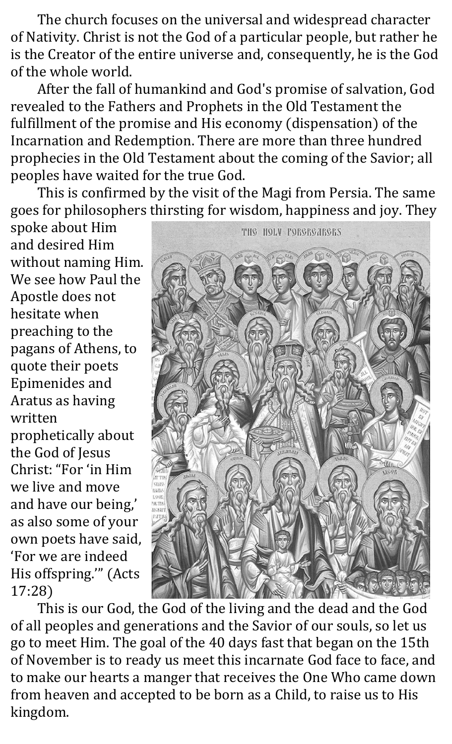The church focuses on the universal and widespread character of Nativity. Christ is not the God of a particular people, but rather he is the Creator of the entire universe and, consequently, he is the God of the whole world.

After the fall of humankind and God's promise of salvation, God revealed to the Fathers and Prophets in the Old Testament the fulfillment of the promise and His economy (dispensation) of the Incarnation and Redemption. There are more than three hundred prophecies in the Old Testament about the coming of the Savior; all peoples have waited for the true God.

This is confirmed by the visit of the Magi from Persia. The same goes for philosophers thirsting for wisdom, happiness and joy. They

spoke about Him and desired Him without naming Him. We see how Paul the Apostle does not hesitate when preaching to the pagans of Athens, to quote their poets Epimenides and Aratus as having written prophetically about the God of Jesus Christ: "For 'in Him we live and move

and have our being,' as also some of your own poets have said, 'For we are indeed His offspring.'" (Acts 17:28)



This is our God, the God of the living and the dead and the God of all peoples and generations and the Savior of our souls, so let us go to meet Him. The goal of the 40 days fast that began on the 15th of November is to ready us meet this incarnate God face to face, and to make our hearts a manger that receives the One Who came down from heaven and accepted to be born as a Child, to raise us to His kingdom.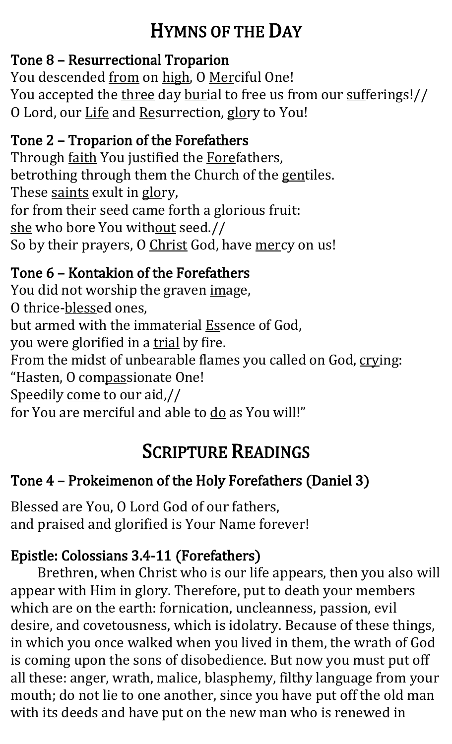## HYMNS OF THE DAY

#### Tone 8 – Resurrectional Troparion

You descended from on high, O Merciful One! You accepted the three day burial to free us from our sufferings!// O Lord, our Life and Resurrection, glory to You!

#### Tone 2 – Troparion of the Forefathers

Through faith You justified the Forefathers, betrothing through them the Church of the gentiles. These saints exult in glory, for from their seed came forth a glorious fruit: she who bore You without seed.// So by their prayers, O Christ God, have mercy on us!

#### Tone 6 – Kontakion of the Forefathers

You did not worship the graven image, O thrice-blessed ones, but armed with the immaterial **Essence of God**, you were glorified in a trial by fire. From the midst of unbearable flames you called on God, crying: "Hasten, O compassionate One! Speedily come to our aid,// for You are merciful and able to do as You will!"

# SCRIPTURE READINGS

### Tone 4 – Prokeimenon of the Holy Forefathers (Daniel 3)

Blessed are You, O Lord God of our fathers, and praised and glorified is Your Name forever!

### Epistle: Colossians 3.4-11 (Forefathers)

Brethren, when Christ who is our life appears, then you also will appear with Him in glory. Therefore, put to death your members which are on the earth: fornication, uncleanness, passion, evil desire, and covetousness, which is idolatry. Because of these things, in which you once walked when you lived in them, the wrath of God is coming upon the sons of disobedience. But now you must put off all these: anger, wrath, malice, blasphemy, filthy language from your mouth; do not lie to one another, since you have put off the old man with its deeds and have put on the new man who is renewed in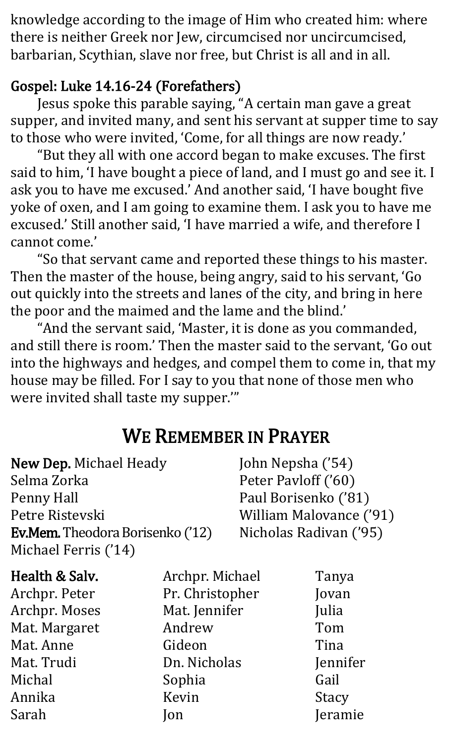knowledge according to the image of Him who created him: where there is neither Greek nor Jew, circumcised nor uncircumcised, barbarian, Scythian, slave nor free, but Christ is all and in all.

#### Gospel: Luke 14.16-24 (Forefathers)

Jesus spoke this parable saying, "A certain man gave a great supper, and invited many, and sent his servant at supper time to say to those who were invited, 'Come, for all things are now ready.'

"But they all with one accord began to make excuses. The first said to him, 'I have bought a piece of land, and I must go and see it. I ask you to have me excused.' And another said, 'I have bought five yoke of oxen, and I am going to examine them. I ask you to have me excused.' Still another said, 'I have married a wife, and therefore I cannot come.'

"So that servant came and reported these things to his master. Then the master of the house, being angry, said to his servant, 'Go out quickly into the streets and lanes of the city, and bring in here the poor and the maimed and the lame and the blind.'

"And the servant said, 'Master, it is done as you commanded, and still there is room.' Then the master said to the servant, 'Go out into the highways and hedges, and compel them to come in, that my house may be filled. For I say to you that none of those men who were invited shall taste my supper.'"

### WE REMEMBER IN PRAYER

| <b>New Dep.</b> Michael Heady           | John Nepsha ('54)       |
|-----------------------------------------|-------------------------|
| Selma Zorka                             | Peter Payloff ('60)     |
| Penny Hall                              | Paul Borisenko ('81)    |
| Petre Ristevski                         | William Malovance ('91) |
| <b>Ev.Mem.</b> Theodora Borisenko ('12) | Nicholas Radivan ('95)  |
| Michael Ferris ('14)                    |                         |
|                                         |                         |

Health & Salv. Archpr. Peter Archpr. Moses Mat. Margaret Mat. Anne Mat. Trudi Michal Annika Sarah

Archpr. Michael Pr. Christopher Mat. Jennifer Andrew Gideon Dn. Nicholas Sophia Kevin Jon

Tanya Jovan Julia Tom Tina Jennifer Gail **Stacy** Jeramie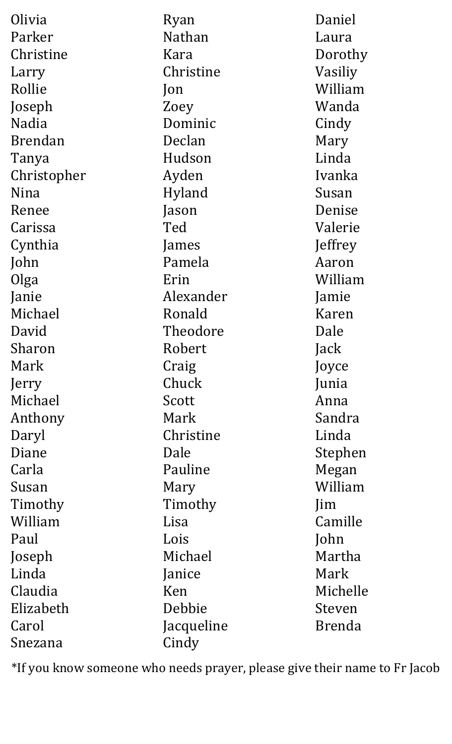| Olivia         | Ryan       | Daniel        |
|----------------|------------|---------------|
| Parker         | Nathan     | Laura         |
| Christine      | Kara       | Dorothy       |
| Larry          | Christine  | Vasiliy       |
| Rollie         | Jon        | William       |
| Joseph         | Zoey       | Wanda         |
| <b>Nadia</b>   | Dominic    | Cindy         |
| <b>Brendan</b> | Declan     | Mary          |
| Tanya          | Hudson     | Linda         |
| Christopher    | Ayden      | Ivanka        |
| Nina           | Hyland     | Susan         |
| Renee          | Jason      | Denise        |
| Carissa        | Ted        | Valerie       |
| Cynthia        | James      | Jeffrey       |
| John           | Pamela     | Aaron         |
| Olga           | Erin       | William       |
| Janie          | Alexander  | Jamie         |
| Michael        | Ronald     | Karen         |
| David          | Theodore   | Dale          |
| Sharon         | Robert     | Jack          |
| Mark           | Craig      | Joyce         |
| Jerry          | Chuck      | Junia         |
| Michael        | Scott      | Anna          |
| Anthony        | Mark       | Sandra        |
| Daryl          | Christine  | Linda         |
| Diane          | Dale       | Stephen       |
| Carla          | Pauline    | Megan         |
| Susan          | Mary       | William       |
| Timothy        | Timothy    | Jim           |
| William        | Lisa       | Camille       |
| Paul           | Lois       | John          |
| Joseph         | Michael    | Martha        |
| Linda          | Janice     | Mark          |
| Claudia        | Ken        | Michelle      |
| Elizabeth      | Debbie     | Steven        |
| Carol          | Jacqueline | <b>Brenda</b> |
| Snezana        | Cindy      |               |

\*If you know someone who needs prayer, please give their name to Fr Jacob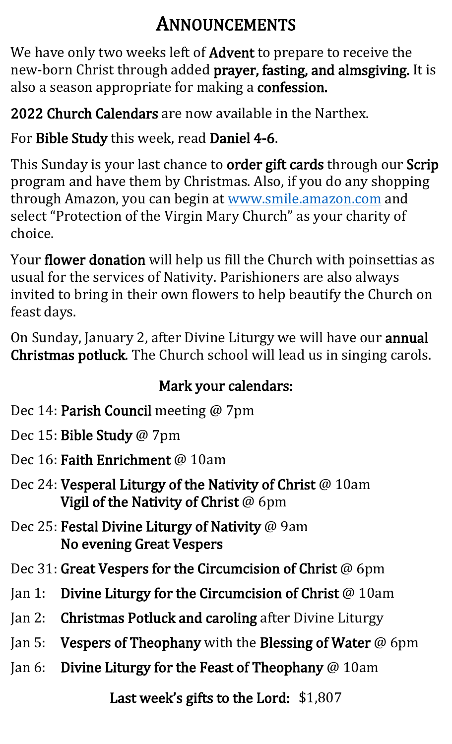### ANNOUNCEMENTS

We have only two weeks left of **Advent** to prepare to receive the new-born Christ through added prayer, fasting, and almsgiving. It is also a season appropriate for making a confession.

2022 Church Calendars are now available in the Narthex.

For Bible Study this week, read Daniel 4-6.

This Sunday is your last chance to order gift cards through our Scrip program and have them by Christmas. Also, if you do any shopping through Amazon, you can begin at [www.smile.amazon.com](http://www.smile.amazon.com/) and select "Protection of the Virgin Mary Church" as your charity of choice.

Your flower donation will help us fill the Church with poinsettias as usual for the services of Nativity. Parishioners are also always invited to bring in their own flowers to help beautify the Church on feast days.

On Sunday, January 2, after Divine Liturgy we will have our annual Christmas potluck. The Church school will lead us in singing carols.

#### Mark your calendars:

- Dec 14: Parish Council meeting @ 7pm
- Dec 15: Bible Study @ 7pm
- Dec 16: **Faith Enrichment** @ 10am
- Dec 24: Vesperal Liturgy of the Nativity of Christ @ 10am Vigil of the Nativity of Christ @ 6pm
- Dec 25: Festal Divine Liturgy of Nativity @ 9am No evening Great Vespers
- Dec 31: Great Vespers for the Circumcision of Christ @ 6pm
- Jan 1: Divine Liturgy for the Circumcision of Christ @ 10am
- Jan 2: Christmas Potluck and caroling after Divine Liturgy
- Jan 5: Vespers of Theophany with the Blessing of Water @ 6pm
- Jan 6: Divine Liturgy for the Feast of Theophany @ 10am

Last week's gifts to the Lord: \$1,807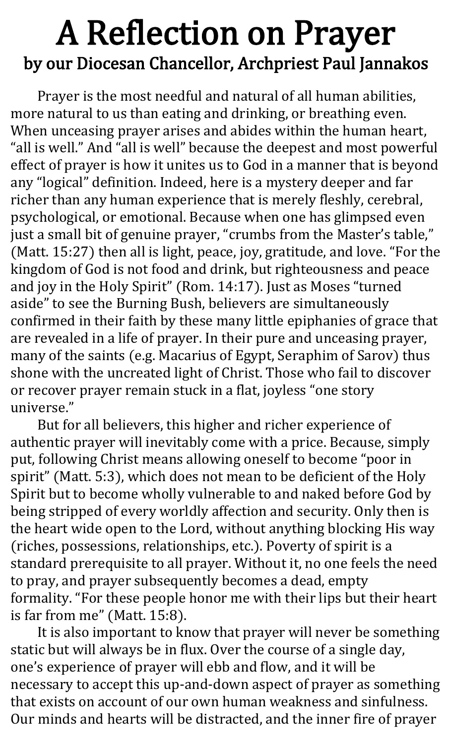# A Reflection on Prayer by our Diocesan Chancellor, Archpriest Paul Jannakos

Prayer is the most needful and natural of all human abilities, more natural to us than eating and drinking, or breathing even. When unceasing prayer arises and abides within the human heart, "all is well." And "all is well" because the deepest and most powerful effect of prayer is how it unites us to God in a manner that is beyond any "logical" definition. Indeed, here is a mystery deeper and far richer than any human experience that is merely fleshly, cerebral, psychological, or emotional. Because when one has glimpsed even just a small bit of genuine prayer, "crumbs from the Master's table," (Matt. 15:27) then all is light, peace, joy, gratitude, and love. "For the kingdom of God is not food and drink, but righteousness and peace and joy in the Holy Spirit" (Rom. 14:17). Just as Moses "turned aside" to see the Burning Bush, believers are simultaneously confirmed in their faith by these many little epiphanies of grace that are revealed in a life of prayer. In their pure and unceasing prayer, many of the saints (e.g. Macarius of Egypt, Seraphim of Sarov) thus shone with the uncreated light of Christ. Those who fail to discover or recover prayer remain stuck in a flat, joyless "one story universe."

But for all believers, this higher and richer experience of authentic prayer will inevitably come with a price. Because, simply put, following Christ means allowing oneself to become "poor in spirit" (Matt. 5:3), which does not mean to be deficient of the Holy Spirit but to become wholly vulnerable to and naked before God by being stripped of every worldly affection and security. Only then is the heart wide open to the Lord, without anything blocking His way (riches, possessions, relationships, etc.). Poverty of spirit is a standard prerequisite to all prayer. Without it, no one feels the need to pray, and prayer subsequently becomes a dead, empty formality. "For these people honor me with their lips but their heart is far from me" (Matt. 15:8).

It is also important to know that prayer will never be something static but will always be in flux. Over the course of a single day, one's experience of prayer will ebb and flow, and it will be necessary to accept this up-and-down aspect of prayer as something that exists on account of our own human weakness and sinfulness. Our minds and hearts will be distracted, and the inner fire of prayer